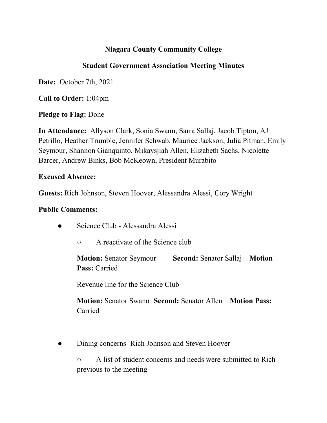# **Niagara County Community College**

## **Student Government Association Meeting Minutes**

**Date:** October 7th, 2021

**Call to Order:** 1:04pm

**Pledge to Flag:** Done

**In Attendance:** Allyson Clark, Sonia Swann, Sarra Sallaj, Jacob Tipton, AJ Petrillo, Heather Trumble, Jennifer Schwab, Maurice Jackson, Julia Pitman, Emily Seymour, Shannon Gianquinto, Mikaysjiah Allen, Elizabeth Sachs, Nicolette Barcer, Andrew Binks, Bob McKeown, President Murabito

#### **Excused Absence:**

**Guests:** Rich Johnson, Steven Hoover, Alessandra Alessi, Cory Wright

#### **Public Comments:**

- Science Club Alessandra Alessi
	- A reactivate of the Science club

**Motion:** Senator Seymour **Second:** Senator Sallaj **Motion Pass:** Carried

Revenue line for the Science Club

**Motion:** Senator Swann **Second:** Senator Allen **Motion Pass:** Carried

• Dining concerns- Rich Johnson and Steven Hoover

○ A list of student concerns and needs were submitted to Rich previous to the meeting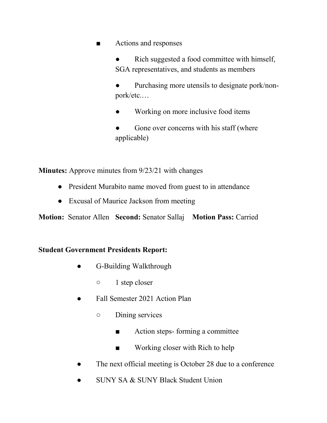■ Actions and responses

Rich suggested a food committee with himself, SGA representatives, and students as members

Purchasing more utensils to designate pork/nonpork/etc.…

Working on more inclusive food items

Gone over concerns with his staff (where applicable)

**Minutes:** Approve minutes from 9/23/21 with changes

- President Murabito name moved from guest to in attendance
- Excusal of Maurice Jackson from meeting

**Motion:** Senator Allen **Second:** Senator Sallaj **Motion Pass:** Carried

#### **Student Government Presidents Report:**

- G-Building Walkthrough
	- 1 step closer
- Fall Semester 2021 Action Plan
	- Dining services
		- Action steps- forming a committee
		- Working closer with Rich to help
- The next official meeting is October 28 due to a conference
- SUNY SA & SUNY Black Student Union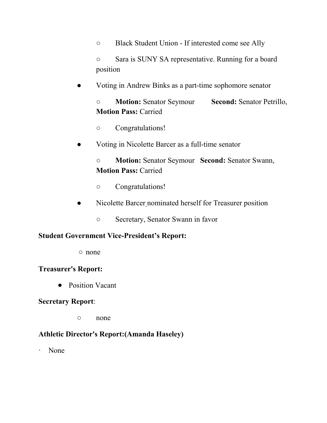○ Black Student Union - If interested come see Ally

○ Sara is SUNY SA representative. Running for a board position

● Voting in Andrew Binks as a part-time sophomore senator

○ **Motion:** Senator Seymour **Second:** Senator Petrillo, **Motion Pass:** Carried

- Congratulations!
- Voting in Nicolette Barcer as a full-time senator

○ **Motion:** Senator Seymour **Second:** Senator Swann, **Motion Pass:** Carried

- Congratulations!
- Nicolette Barcer nominated herself for Treasurer position
	- Secretary, Senator Swann in favor

#### **Student Government Vice-President's Report:**

○ none

#### **Treasurer's Report:**

● Position Vacant

#### **Secretary Report**:

○ none

### **Athletic Director's Report:(Amanda Haseley)**

· None